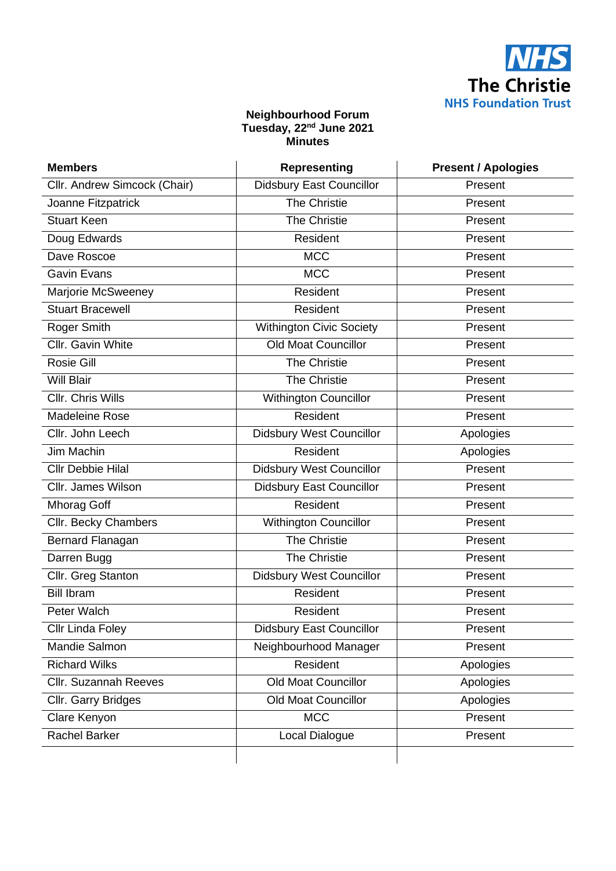

## **Neighbourhood Forum Tuesday, 22nd June 2021 Minutes**

| <b>Members</b>               | <b>Representing</b>             | <b>Present / Apologies</b> |
|------------------------------|---------------------------------|----------------------------|
| Cllr. Andrew Simcock (Chair) | <b>Didsbury East Councillor</b> | Present                    |
| Joanne Fitzpatrick           | <b>The Christie</b>             | Present                    |
| <b>Stuart Keen</b>           | <b>The Christie</b>             | Present                    |
| Doug Edwards                 | Resident                        | Present                    |
| Dave Roscoe                  | <b>MCC</b>                      | Present                    |
| <b>Gavin Evans</b>           | <b>MCC</b>                      | Present                    |
| Marjorie McSweeney           | Resident                        | Present                    |
| <b>Stuart Bracewell</b>      | Resident                        | Present                    |
| Roger Smith                  | <b>Withington Civic Society</b> | Present                    |
| Cllr. Gavin White            | <b>Old Moat Councillor</b>      | Present                    |
| Rosie Gill                   | <b>The Christie</b>             | Present                    |
| <b>Will Blair</b>            | The Christie                    | Present                    |
| Cllr. Chris Wills            | <b>Withington Councillor</b>    | Present                    |
| Madeleine Rose               | Resident                        | Present                    |
| Cllr. John Leech             | Didsbury West Councillor        | Apologies                  |
| Jim Machin                   | Resident                        | Apologies                  |
| <b>Cllr Debbie Hilal</b>     | <b>Didsbury West Councillor</b> | Present                    |
| Cllr. James Wilson           | <b>Didsbury East Councillor</b> | Present                    |
| Mhorag Goff                  | Resident                        | Present                    |
| Cllr. Becky Chambers         | <b>Withington Councillor</b>    | Present                    |
| Bernard Flanagan             | <b>The Christie</b>             | Present                    |
| Darren Bugg                  | <b>The Christie</b>             | Present                    |
| Cllr. Greg Stanton           | <b>Didsbury West Councillor</b> | Present                    |
| <b>Bill Ibram</b>            | Resident                        | Present                    |
| Peter Walch                  | Resident                        | Present                    |
| Cllr Linda Foley             | <b>Didsbury East Councillor</b> | Present                    |
| Mandie Salmon                | Neighbourhood Manager           | Present                    |
| <b>Richard Wilks</b>         | Resident                        | Apologies                  |
| <b>Cllr. Suzannah Reeves</b> | <b>Old Moat Councillor</b>      | Apologies                  |
| Cllr. Garry Bridges          | <b>Old Moat Councillor</b>      | Apologies                  |
| Clare Kenyon                 | <b>MCC</b>                      | Present                    |
| <b>Rachel Barker</b>         | Local Dialogue                  | Present                    |
|                              |                                 |                            |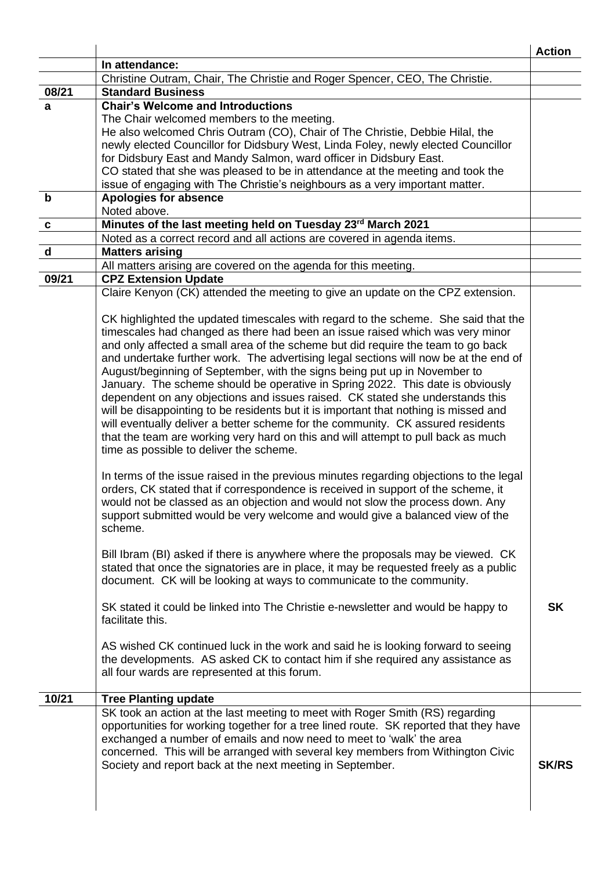|             | In attendance:                                                                                                                                                 | <b>Action</b> |
|-------------|----------------------------------------------------------------------------------------------------------------------------------------------------------------|---------------|
|             | Christine Outram, Chair, The Christie and Roger Spencer, CEO, The Christie.                                                                                    |               |
| 08/21       | <b>Standard Business</b>                                                                                                                                       |               |
| a           | <b>Chair's Welcome and Introductions</b>                                                                                                                       |               |
|             | The Chair welcomed members to the meeting.                                                                                                                     |               |
|             | He also welcomed Chris Outram (CO), Chair of The Christie, Debbie Hilal, the                                                                                   |               |
|             | newly elected Councillor for Didsbury West, Linda Foley, newly elected Councillor                                                                              |               |
|             | for Didsbury East and Mandy Salmon, ward officer in Didsbury East.                                                                                             |               |
|             | CO stated that she was pleased to be in attendance at the meeting and took the                                                                                 |               |
|             | issue of engaging with The Christie's neighbours as a very important matter.                                                                                   |               |
| $\mathbf b$ | <b>Apologies for absence</b>                                                                                                                                   |               |
|             | Noted above.                                                                                                                                                   |               |
| $\mathbf c$ | Minutes of the last meeting held on Tuesday 23rd March 2021                                                                                                    |               |
|             | Noted as a correct record and all actions are covered in agenda items.                                                                                         |               |
| $\mathbf d$ | <b>Matters arising</b>                                                                                                                                         |               |
|             | All matters arising are covered on the agenda for this meeting.                                                                                                |               |
| 09/21       | <b>CPZ Extension Update</b>                                                                                                                                    |               |
|             | Claire Kenyon (CK) attended the meeting to give an update on the CPZ extension.                                                                                |               |
|             | CK highlighted the updated timescales with regard to the scheme. She said that the                                                                             |               |
|             | timescales had changed as there had been an issue raised which was very minor                                                                                  |               |
|             | and only affected a small area of the scheme but did require the team to go back                                                                               |               |
|             | and undertake further work. The advertising legal sections will now be at the end of                                                                           |               |
|             | August/beginning of September, with the signs being put up in November to                                                                                      |               |
|             | January. The scheme should be operative in Spring 2022. This date is obviously                                                                                 |               |
|             | dependent on any objections and issues raised. CK stated she understands this                                                                                  |               |
|             | will be disappointing to be residents but it is important that nothing is missed and                                                                           |               |
|             | will eventually deliver a better scheme for the community. CK assured residents                                                                                |               |
|             | that the team are working very hard on this and will attempt to pull back as much                                                                              |               |
|             | time as possible to deliver the scheme.                                                                                                                        |               |
|             |                                                                                                                                                                |               |
|             | In terms of the issue raised in the previous minutes regarding objections to the legal                                                                         |               |
|             | orders, CK stated that if correspondence is received in support of the scheme, it                                                                              |               |
|             | would not be classed as an objection and would not slow the process down. Any<br>support submitted would be very welcome and would give a balanced view of the |               |
|             | scheme.                                                                                                                                                        |               |
|             |                                                                                                                                                                |               |
|             | Bill Ibram (BI) asked if there is anywhere where the proposals may be viewed. CK                                                                               |               |
|             | stated that once the signatories are in place, it may be requested freely as a public                                                                          |               |
|             | document. CK will be looking at ways to communicate to the community.                                                                                          |               |
|             |                                                                                                                                                                |               |
|             | SK stated it could be linked into The Christie e-newsletter and would be happy to                                                                              | <b>SK</b>     |
|             | facilitate this.                                                                                                                                               |               |
|             |                                                                                                                                                                |               |
|             | AS wished CK continued luck in the work and said he is looking forward to seeing                                                                               |               |
|             | the developments. AS asked CK to contact him if she required any assistance as                                                                                 |               |
|             | all four wards are represented at this forum.                                                                                                                  |               |
| 10/21       | <b>Tree Planting update</b>                                                                                                                                    |               |
|             | SK took an action at the last meeting to meet with Roger Smith (RS) regarding                                                                                  |               |
|             | opportunities for working together for a tree lined route. SK reported that they have                                                                          |               |
|             | exchanged a number of emails and now need to meet to 'walk' the area                                                                                           |               |
|             | concerned. This will be arranged with several key members from Withington Civic                                                                                |               |
|             | Society and report back at the next meeting in September.                                                                                                      | <b>SK/RS</b>  |
|             |                                                                                                                                                                |               |
|             |                                                                                                                                                                |               |
|             |                                                                                                                                                                |               |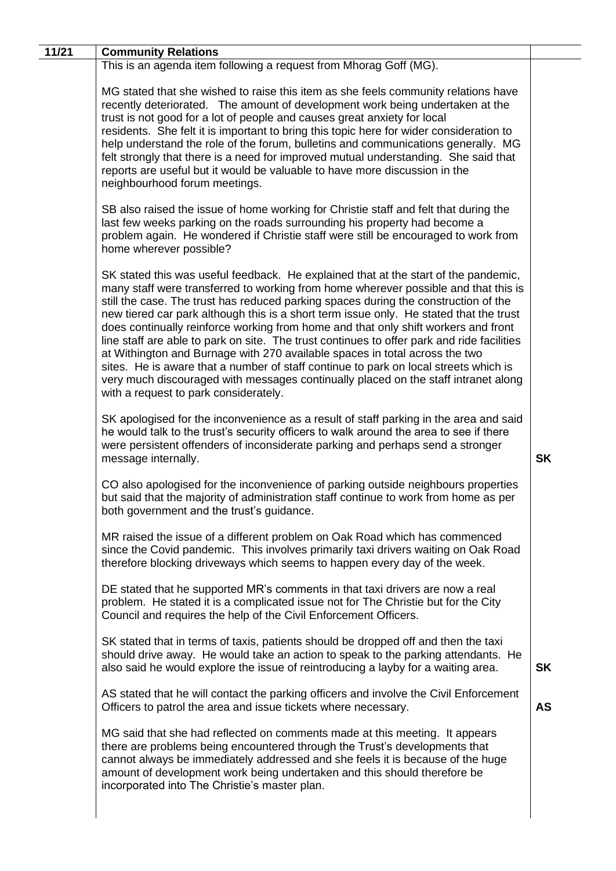| 11/21 | <b>Community Relations</b>                                                                                                                                                                                                                                                                                                                                                                                                                                                                                                                                                                                                                                                                                                                                                                                                                            |           |
|-------|-------------------------------------------------------------------------------------------------------------------------------------------------------------------------------------------------------------------------------------------------------------------------------------------------------------------------------------------------------------------------------------------------------------------------------------------------------------------------------------------------------------------------------------------------------------------------------------------------------------------------------------------------------------------------------------------------------------------------------------------------------------------------------------------------------------------------------------------------------|-----------|
|       | This is an agenda item following a request from Mhorag Goff (MG).                                                                                                                                                                                                                                                                                                                                                                                                                                                                                                                                                                                                                                                                                                                                                                                     |           |
|       | MG stated that she wished to raise this item as she feels community relations have<br>recently deteriorated. The amount of development work being undertaken at the<br>trust is not good for a lot of people and causes great anxiety for local<br>residents. She felt it is important to bring this topic here for wider consideration to<br>help understand the role of the forum, bulletins and communications generally. MG<br>felt strongly that there is a need for improved mutual understanding. She said that<br>reports are useful but it would be valuable to have more discussion in the<br>neighbourhood forum meetings.                                                                                                                                                                                                                 |           |
|       | SB also raised the issue of home working for Christie staff and felt that during the<br>last few weeks parking on the roads surrounding his property had become a<br>problem again. He wondered if Christie staff were still be encouraged to work from<br>home wherever possible?                                                                                                                                                                                                                                                                                                                                                                                                                                                                                                                                                                    |           |
|       | SK stated this was useful feedback. He explained that at the start of the pandemic,<br>many staff were transferred to working from home wherever possible and that this is<br>still the case. The trust has reduced parking spaces during the construction of the<br>new tiered car park although this is a short term issue only. He stated that the trust<br>does continually reinforce working from home and that only shift workers and front<br>line staff are able to park on site. The trust continues to offer park and ride facilities<br>at Withington and Burnage with 270 available spaces in total across the two<br>sites. He is aware that a number of staff continue to park on local streets which is<br>very much discouraged with messages continually placed on the staff intranet along<br>with a request to park considerately. |           |
|       | SK apologised for the inconvenience as a result of staff parking in the area and said<br>he would talk to the trust's security officers to walk around the area to see if there<br>were persistent offenders of inconsiderate parking and perhaps send a stronger<br>message internally.                                                                                                                                                                                                                                                                                                                                                                                                                                                                                                                                                              | <b>SK</b> |
|       | CO also apologised for the inconvenience of parking outside neighbours properties<br>but said that the majority of administration staff continue to work from home as per<br>both government and the trust's guidance.                                                                                                                                                                                                                                                                                                                                                                                                                                                                                                                                                                                                                                |           |
|       | MR raised the issue of a different problem on Oak Road which has commenced<br>since the Covid pandemic. This involves primarily taxi drivers waiting on Oak Road<br>therefore blocking driveways which seems to happen every day of the week.                                                                                                                                                                                                                                                                                                                                                                                                                                                                                                                                                                                                         |           |
|       | DE stated that he supported MR's comments in that taxi drivers are now a real<br>problem. He stated it is a complicated issue not for The Christie but for the City<br>Council and requires the help of the Civil Enforcement Officers.                                                                                                                                                                                                                                                                                                                                                                                                                                                                                                                                                                                                               |           |
|       | SK stated that in terms of taxis, patients should be dropped off and then the taxi<br>should drive away. He would take an action to speak to the parking attendants. He<br>also said he would explore the issue of reintroducing a layby for a waiting area.                                                                                                                                                                                                                                                                                                                                                                                                                                                                                                                                                                                          | <b>SK</b> |
|       | AS stated that he will contact the parking officers and involve the Civil Enforcement<br>Officers to patrol the area and issue tickets where necessary.                                                                                                                                                                                                                                                                                                                                                                                                                                                                                                                                                                                                                                                                                               | <b>AS</b> |
|       | MG said that she had reflected on comments made at this meeting. It appears<br>there are problems being encountered through the Trust's developments that<br>cannot always be immediately addressed and she feels it is because of the huge<br>amount of development work being undertaken and this should therefore be<br>incorporated into The Christie's master plan.                                                                                                                                                                                                                                                                                                                                                                                                                                                                              |           |
|       |                                                                                                                                                                                                                                                                                                                                                                                                                                                                                                                                                                                                                                                                                                                                                                                                                                                       |           |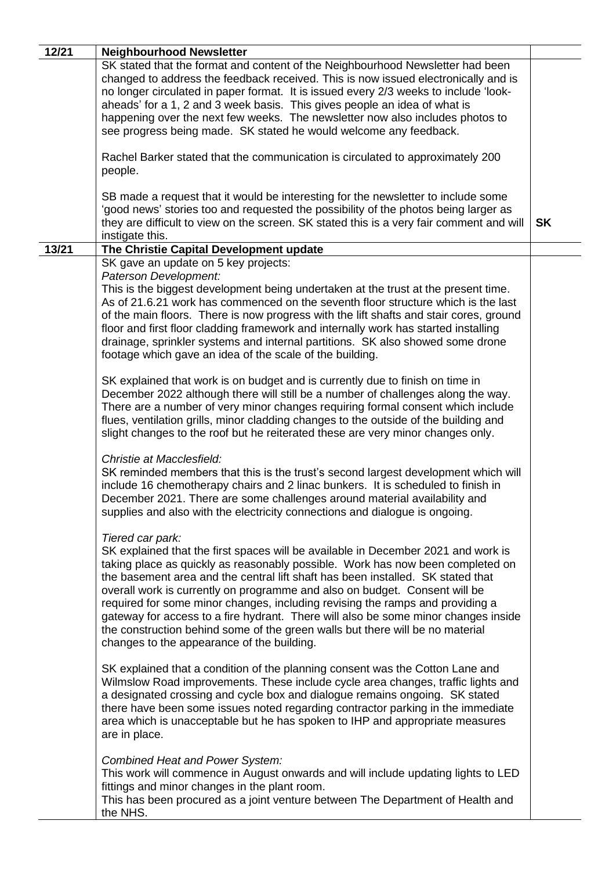| 12/21 | <b>Neighbourhood Newsletter</b>                                                                                                                                                                                                                                                         |           |
|-------|-----------------------------------------------------------------------------------------------------------------------------------------------------------------------------------------------------------------------------------------------------------------------------------------|-----------|
|       | SK stated that the format and content of the Neighbourhood Newsletter had been                                                                                                                                                                                                          |           |
|       | changed to address the feedback received. This is now issued electronically and is<br>no longer circulated in paper format. It is issued every 2/3 weeks to include 'look-                                                                                                              |           |
|       | aheads' for a 1, 2 and 3 week basis. This gives people an idea of what is                                                                                                                                                                                                               |           |
|       | happening over the next few weeks. The newsletter now also includes photos to                                                                                                                                                                                                           |           |
|       | see progress being made. SK stated he would welcome any feedback.                                                                                                                                                                                                                       |           |
|       | Rachel Barker stated that the communication is circulated to approximately 200<br>people.                                                                                                                                                                                               |           |
|       | SB made a request that it would be interesting for the newsletter to include some<br>'good news' stories too and requested the possibility of the photos being larger as<br>they are difficult to view on the screen. SK stated this is a very fair comment and will<br>instigate this. | <b>SK</b> |
| 13/21 | The Christie Capital Development update                                                                                                                                                                                                                                                 |           |
|       | SK gave an update on 5 key projects:<br>Paterson Development:                                                                                                                                                                                                                           |           |
|       | This is the biggest development being undertaken at the trust at the present time.                                                                                                                                                                                                      |           |
|       | As of 21.6.21 work has commenced on the seventh floor structure which is the last                                                                                                                                                                                                       |           |
|       | of the main floors. There is now progress with the lift shafts and stair cores, ground                                                                                                                                                                                                  |           |
|       | floor and first floor cladding framework and internally work has started installing<br>drainage, sprinkler systems and internal partitions. SK also showed some drone                                                                                                                   |           |
|       | footage which gave an idea of the scale of the building.                                                                                                                                                                                                                                |           |
|       |                                                                                                                                                                                                                                                                                         |           |
|       | SK explained that work is on budget and is currently due to finish on time in<br>December 2022 although there will still be a number of challenges along the way.                                                                                                                       |           |
|       | There are a number of very minor changes requiring formal consent which include                                                                                                                                                                                                         |           |
|       | flues, ventilation grills, minor cladding changes to the outside of the building and                                                                                                                                                                                                    |           |
|       | slight changes to the roof but he reiterated these are very minor changes only.                                                                                                                                                                                                         |           |
|       | Christie at Macclesfield:                                                                                                                                                                                                                                                               |           |
|       | SK reminded members that this is the trust's second largest development which will                                                                                                                                                                                                      |           |
|       | include 16 chemotherapy chairs and 2 linac bunkers. It is scheduled to finish in                                                                                                                                                                                                        |           |
|       | December 2021. There are some challenges around material availability and<br>supplies and also with the electricity connections and dialogue is ongoing.                                                                                                                                |           |
|       |                                                                                                                                                                                                                                                                                         |           |
|       | Tiered car park:                                                                                                                                                                                                                                                                        |           |
|       | SK explained that the first spaces will be available in December 2021 and work is                                                                                                                                                                                                       |           |
|       | taking place as quickly as reasonably possible. Work has now been completed on<br>the basement area and the central lift shaft has been installed. SK stated that                                                                                                                       |           |
|       | overall work is currently on programme and also on budget. Consent will be                                                                                                                                                                                                              |           |
|       | required for some minor changes, including revising the ramps and providing a                                                                                                                                                                                                           |           |
|       | gateway for access to a fire hydrant. There will also be some minor changes inside<br>the construction behind some of the green walls but there will be no material                                                                                                                     |           |
|       | changes to the appearance of the building.                                                                                                                                                                                                                                              |           |
|       |                                                                                                                                                                                                                                                                                         |           |
|       | SK explained that a condition of the planning consent was the Cotton Lane and                                                                                                                                                                                                           |           |
|       | Wilmslow Road improvements. These include cycle area changes, traffic lights and<br>a designated crossing and cycle box and dialogue remains ongoing. SK stated                                                                                                                         |           |
|       | there have been some issues noted regarding contractor parking in the immediate                                                                                                                                                                                                         |           |
|       | area which is unacceptable but he has spoken to IHP and appropriate measures                                                                                                                                                                                                            |           |
|       | are in place.                                                                                                                                                                                                                                                                           |           |
|       | Combined Heat and Power System:                                                                                                                                                                                                                                                         |           |
|       | This work will commence in August onwards and will include updating lights to LED                                                                                                                                                                                                       |           |
|       | fittings and minor changes in the plant room.                                                                                                                                                                                                                                           |           |
|       | This has been procured as a joint venture between The Department of Health and<br>the NHS.                                                                                                                                                                                              |           |
|       |                                                                                                                                                                                                                                                                                         |           |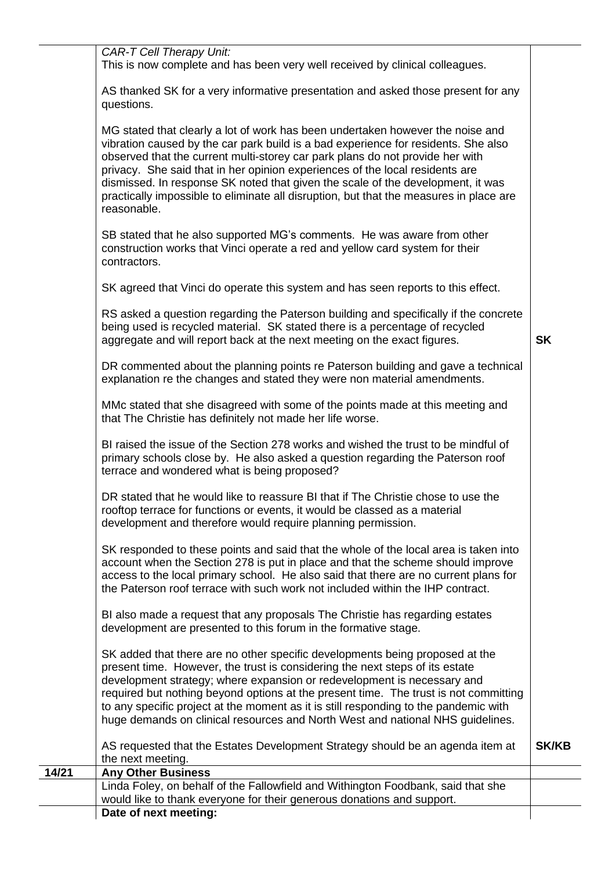|       | <b>CAR-T Cell Therapy Unit:</b><br>This is now complete and has been very well received by clinical colleagues.                                                                                                                                                                                                                                                                                                                                                                                                                   |              |
|-------|-----------------------------------------------------------------------------------------------------------------------------------------------------------------------------------------------------------------------------------------------------------------------------------------------------------------------------------------------------------------------------------------------------------------------------------------------------------------------------------------------------------------------------------|--------------|
|       | AS thanked SK for a very informative presentation and asked those present for any<br>questions.                                                                                                                                                                                                                                                                                                                                                                                                                                   |              |
|       | MG stated that clearly a lot of work has been undertaken however the noise and<br>vibration caused by the car park build is a bad experience for residents. She also<br>observed that the current multi-storey car park plans do not provide her with<br>privacy. She said that in her opinion experiences of the local residents are<br>dismissed. In response SK noted that given the scale of the development, it was<br>practically impossible to eliminate all disruption, but that the measures in place are<br>reasonable. |              |
|       | SB stated that he also supported MG's comments. He was aware from other<br>construction works that Vinci operate a red and yellow card system for their<br>contractors.                                                                                                                                                                                                                                                                                                                                                           |              |
|       | SK agreed that Vinci do operate this system and has seen reports to this effect.                                                                                                                                                                                                                                                                                                                                                                                                                                                  |              |
|       | RS asked a question regarding the Paterson building and specifically if the concrete<br>being used is recycled material. SK stated there is a percentage of recycled<br>aggregate and will report back at the next meeting on the exact figures.                                                                                                                                                                                                                                                                                  | <b>SK</b>    |
|       | DR commented about the planning points re Paterson building and gave a technical<br>explanation re the changes and stated they were non material amendments.                                                                                                                                                                                                                                                                                                                                                                      |              |
|       | MMc stated that she disagreed with some of the points made at this meeting and<br>that The Christie has definitely not made her life worse.                                                                                                                                                                                                                                                                                                                                                                                       |              |
|       | BI raised the issue of the Section 278 works and wished the trust to be mindful of<br>primary schools close by. He also asked a question regarding the Paterson roof<br>terrace and wondered what is being proposed?                                                                                                                                                                                                                                                                                                              |              |
|       | DR stated that he would like to reassure BI that if The Christie chose to use the<br>rooftop terrace for functions or events, it would be classed as a material<br>development and therefore would require planning permission.                                                                                                                                                                                                                                                                                                   |              |
|       | SK responded to these points and said that the whole of the local area is taken into<br>account when the Section 278 is put in place and that the scheme should improve<br>access to the local primary school. He also said that there are no current plans for<br>the Paterson roof terrace with such work not included within the IHP contract.                                                                                                                                                                                 |              |
|       | BI also made a request that any proposals The Christie has regarding estates<br>development are presented to this forum in the formative stage.                                                                                                                                                                                                                                                                                                                                                                                   |              |
|       | SK added that there are no other specific developments being proposed at the<br>present time. However, the trust is considering the next steps of its estate<br>development strategy; where expansion or redevelopment is necessary and<br>required but nothing beyond options at the present time. The trust is not committing<br>to any specific project at the moment as it is still responding to the pandemic with<br>huge demands on clinical resources and North West and national NHS guidelines.                         |              |
|       | AS requested that the Estates Development Strategy should be an agenda item at<br>the next meeting.                                                                                                                                                                                                                                                                                                                                                                                                                               | <b>SK/KB</b> |
| 14/21 | <b>Any Other Business</b>                                                                                                                                                                                                                                                                                                                                                                                                                                                                                                         |              |
|       | Linda Foley, on behalf of the Fallowfield and Withington Foodbank, said that she                                                                                                                                                                                                                                                                                                                                                                                                                                                  |              |
|       | would like to thank everyone for their generous donations and support.                                                                                                                                                                                                                                                                                                                                                                                                                                                            |              |
|       | Date of next meeting:                                                                                                                                                                                                                                                                                                                                                                                                                                                                                                             |              |